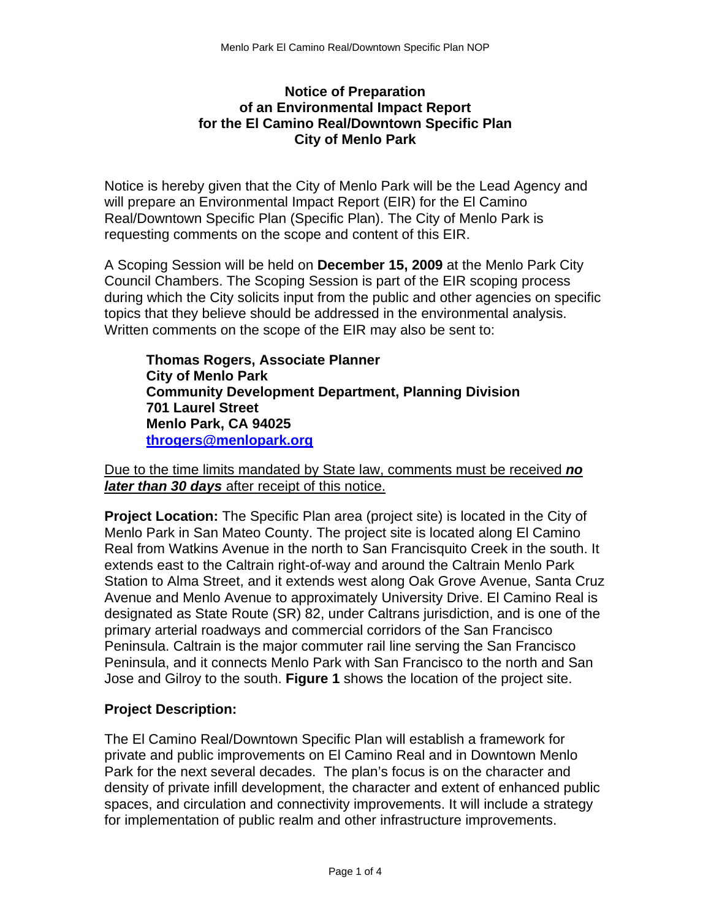## **Notice of Preparation of an Environmental Impact Report for the El Camino Real/Downtown Specific Plan City of Menlo Park**

Notice is hereby given that the City of Menlo Park will be the Lead Agency and will prepare an Environmental Impact Report (EIR) for the El Camino Real/Downtown Specific Plan (Specific Plan). The City of Menlo Park is requesting comments on the scope and content of this EIR.

A Scoping Session will be held on **December 15, 2009** at the Menlo Park City Council Chambers. The Scoping Session is part of the EIR scoping process during which the City solicits input from the public and other agencies on specific topics that they believe should be addressed in the environmental analysis. Written comments on the scope of the EIR may also be sent to:

**Thomas Rogers, Associate Planner City of Menlo Park Community Development Department, Planning Division 701 Laurel Street Menlo Park, CA 94025 [throgers@menlopark.org](mailto:throgers@menlopark.org)**

Due to the time limits mandated by State law, comments must be received *no later than 30 days* after receipt of this notice.

**Project Location:** The Specific Plan area (project site) is located in the City of Menlo Park in San Mateo County. The project site is located along El Camino Real from Watkins Avenue in the north to San Francisquito Creek in the south. It extends east to the Caltrain right-of-way and around the Caltrain Menlo Park Station to Alma Street, and it extends west along Oak Grove Avenue, Santa Cruz Avenue and Menlo Avenue to approximately University Drive. El Camino Real is designated as State Route (SR) 82, under Caltrans jurisdiction, and is one of the primary arterial roadways and commercial corridors of the San Francisco Peninsula. Caltrain is the major commuter rail line serving the San Francisco Peninsula, and it connects Menlo Park with San Francisco to the north and San Jose and Gilroy to the south. **Figure 1** shows the location of the project site.

## **Project Description:**

The El Camino Real/Downtown Specific Plan will establish a framework for private and public improvements on El Camino Real and in Downtown Menlo Park for the next several decades. The plan's focus is on the character and density of private infill development, the character and extent of enhanced public spaces, and circulation and connectivity improvements. It will include a strategy for implementation of public realm and other infrastructure improvements.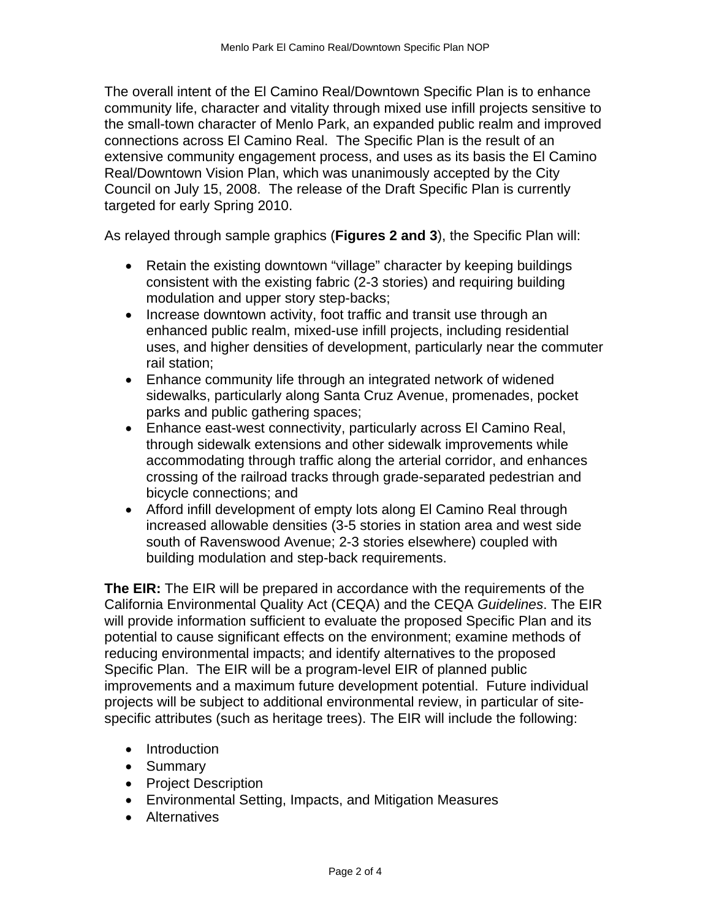The overall intent of the El Camino Real/Downtown Specific Plan is to enhance community life, character and vitality through mixed use infill projects sensitive to the small-town character of Menlo Park, an expanded public realm and improved connections across El Camino Real. The Specific Plan is the result of an extensive community engagement process, and uses as its basis the El Camino Real/Downtown Vision Plan, which was unanimously accepted by the City Council on July 15, 2008. The release of the Draft Specific Plan is currently targeted for early Spring 2010.

As relayed through sample graphics (**Figures 2 and 3**), the Specific Plan will:

- Retain the existing downtown "village" character by keeping buildings consistent with the existing fabric (2-3 stories) and requiring building modulation and upper story step-backs;
- Increase downtown activity, foot traffic and transit use through an enhanced public realm, mixed-use infill projects, including residential uses, and higher densities of development, particularly near the commuter rail station;
- Enhance community life through an integrated network of widened sidewalks, particularly along Santa Cruz Avenue, promenades, pocket parks and public gathering spaces;
- Enhance east-west connectivity, particularly across El Camino Real, through sidewalk extensions and other sidewalk improvements while accommodating through traffic along the arterial corridor, and enhances crossing of the railroad tracks through grade-separated pedestrian and bicycle connections; and
- Afford infill development of empty lots along El Camino Real through increased allowable densities (3-5 stories in station area and west side south of Ravenswood Avenue; 2-3 stories elsewhere) coupled with building modulation and step-back requirements.

**The EIR:** The EIR will be prepared in accordance with the requirements of the California Environmental Quality Act (CEQA) and the CEQA *Guidelines*. The EIR will provide information sufficient to evaluate the proposed Specific Plan and its potential to cause significant effects on the environment; examine methods of reducing environmental impacts; and identify alternatives to the proposed Specific Plan. The EIR will be a program-level EIR of planned public improvements and a maximum future development potential. Future individual projects will be subject to additional environmental review, in particular of sitespecific attributes (such as heritage trees). The EIR will include the following:

- Introduction
- Summary
- Project Description
- Environmental Setting, Impacts, and Mitigation Measures
- Alternatives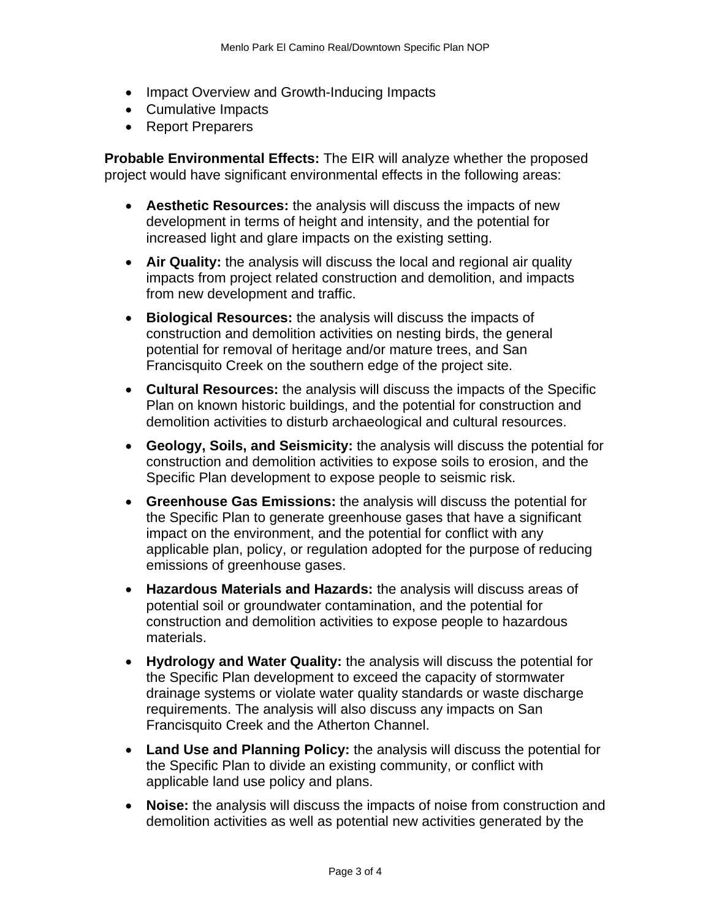- Impact Overview and Growth-Inducing Impacts
- Cumulative Impacts
- Report Preparers

**Probable Environmental Effects:** The EIR will analyze whether the proposed project would have significant environmental effects in the following areas:

- **Aesthetic Resources:** the analysis will discuss the impacts of new development in terms of height and intensity, and the potential for increased light and glare impacts on the existing setting.
- **Air Quality:** the analysis will discuss the local and regional air quality impacts from project related construction and demolition, and impacts from new development and traffic.
- **Biological Resources:** the analysis will discuss the impacts of construction and demolition activities on nesting birds, the general potential for removal of heritage and/or mature trees, and San Francisquito Creek on the southern edge of the project site.
- **Cultural Resources:** the analysis will discuss the impacts of the Specific Plan on known historic buildings, and the potential for construction and demolition activities to disturb archaeological and cultural resources.
- **Geology, Soils, and Seismicity:** the analysis will discuss the potential for construction and demolition activities to expose soils to erosion, and the Specific Plan development to expose people to seismic risk.
- **Greenhouse Gas Emissions:** the analysis will discuss the potential for the Specific Plan to generate greenhouse gases that have a significant impact on the environment, and the potential for conflict with any applicable plan, policy, or regulation adopted for the purpose of reducing emissions of greenhouse gases.
- **Hazardous Materials and Hazards:** the analysis will discuss areas of potential soil or groundwater contamination, and the potential for construction and demolition activities to expose people to hazardous materials.
- **Hydrology and Water Quality:** the analysis will discuss the potential for the Specific Plan development to exceed the capacity of stormwater drainage systems or violate water quality standards or waste discharge requirements. The analysis will also discuss any impacts on San Francisquito Creek and the Atherton Channel.
- **Land Use and Planning Policy:** the analysis will discuss the potential for the Specific Plan to divide an existing community, or conflict with applicable land use policy and plans.
- **Noise:** the analysis will discuss the impacts of noise from construction and demolition activities as well as potential new activities generated by the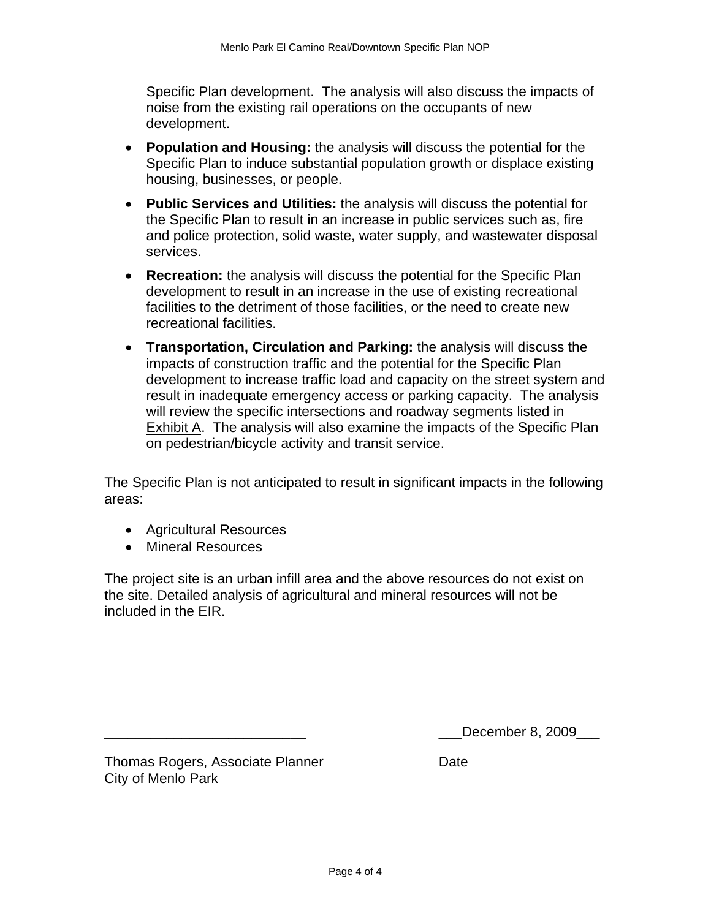Specific Plan development. The analysis will also discuss the impacts of noise from the existing rail operations on the occupants of new development.

- **Population and Housing:** the analysis will discuss the potential for the Specific Plan to induce substantial population growth or displace existing housing, businesses, or people.
- **Public Services and Utilities:** the analysis will discuss the potential for the Specific Plan to result in an increase in public services such as, fire and police protection, solid waste, water supply, and wastewater disposal services.
- **Recreation:** the analysis will discuss the potential for the Specific Plan development to result in an increase in the use of existing recreational facilities to the detriment of those facilities, or the need to create new recreational facilities.
- **Transportation, Circulation and Parking:** the analysis will discuss the impacts of construction traffic and the potential for the Specific Plan development to increase traffic load and capacity on the street system and result in inadequate emergency access or parking capacity. The analysis will review the specific intersections and roadway segments listed in Exhibit A. The analysis will also examine the impacts of the Specific Plan on pedestrian/bicycle activity and transit service.

The Specific Plan is not anticipated to result in significant impacts in the following areas:

- Agricultural Resources
- Mineral Resources

The project site is an urban infill area and the above resources do not exist on the site. Detailed analysis of agricultural and mineral resources will not be included in the EIR.

\_\_\_\_\_\_\_\_\_\_\_\_\_\_\_\_\_\_\_\_\_\_\_\_\_\_ \_\_\_December 8, 2009\_\_\_

Thomas Rogers, Associate Planner **Date** Date City of Menlo Park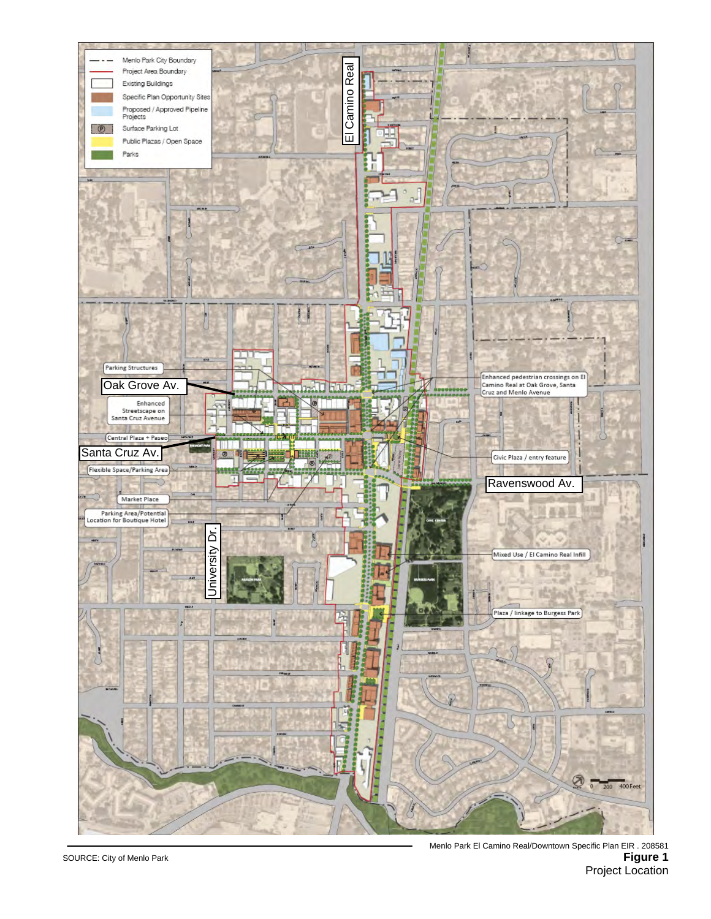

Menlo Park El Camino Real/Downtown Specific Plan EIR . 208581 **Figure 1** Project Location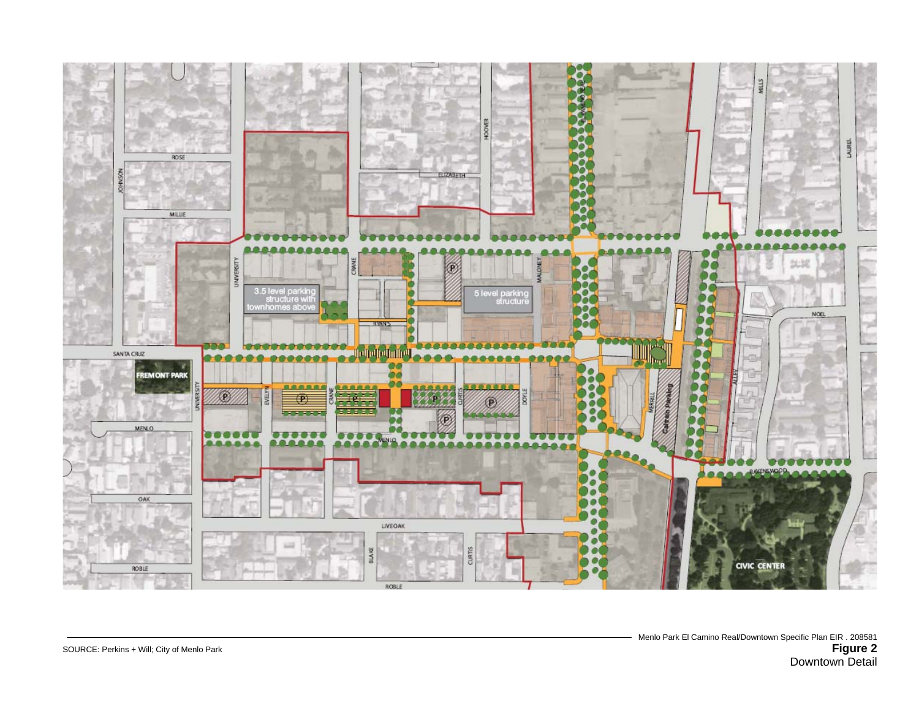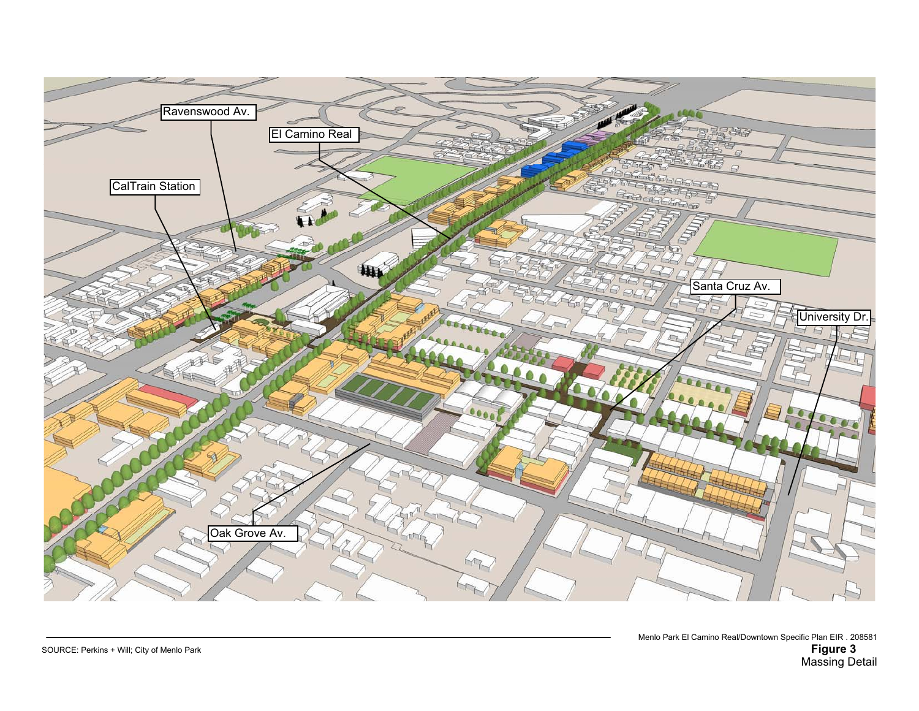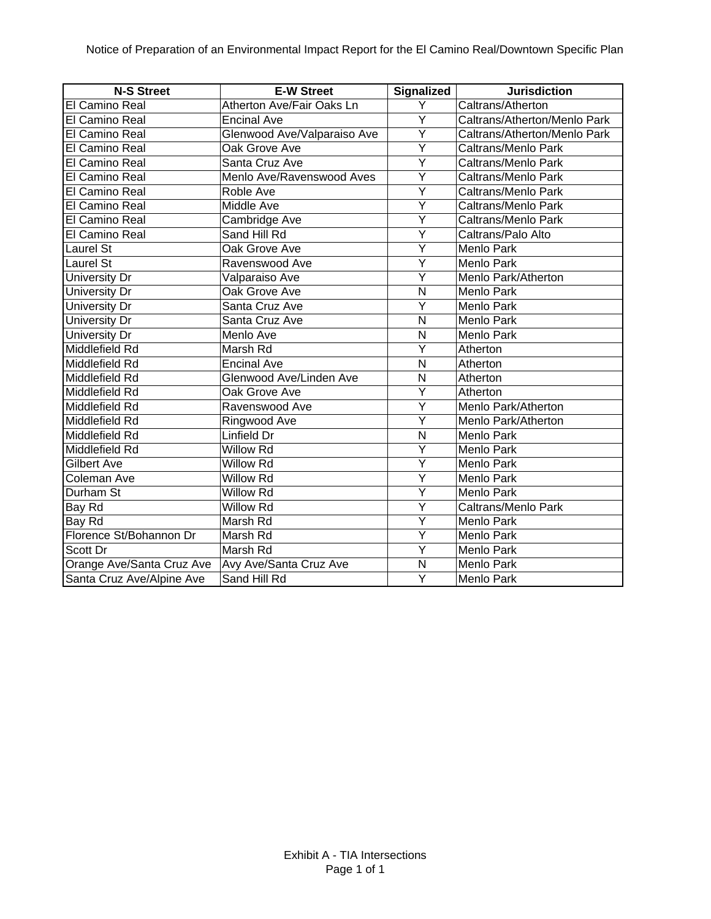| <b>N-S Street</b>         | <b>E-W Street</b>           | <b>Signalized</b>       | <b>Jurisdiction</b>          |
|---------------------------|-----------------------------|-------------------------|------------------------------|
| El Camino Real            | Atherton Ave/Fair Oaks Ln   | Y                       | Caltrans/Atherton            |
| El Camino Real            | <b>Encinal Ave</b>          | Ÿ                       | Caltrans/Atherton/Menlo Park |
| <b>El Camino Real</b>     | Glenwood Ave/Valparaiso Ave | Y                       | Caltrans/Atherton/Menlo Park |
| El Camino Real            | Oak Grove Ave               | Ÿ                       | Caltrans/Menlo Park          |
| El Camino Real            | Santa Cruz Ave              | $\overline{Y}$          | Caltrans/Menlo Park          |
| El Camino Real            | Menlo Ave/Ravenswood Aves   | Y                       | Caltrans/Menlo Park          |
| El Camino Real            | Roble Ave                   | $\overline{Y}$          | Caltrans/Menlo Park          |
| El Camino Real            | Middle Ave                  | Υ                       | Caltrans/Menlo Park          |
| El Camino Real            | Cambridge Ave               | Ÿ                       | Caltrans/Menlo Park          |
| El Camino Real            | Sand Hill Rd                | Y                       | Caltrans/Palo Alto           |
| Laurel St                 | Oak Grove Ave               | Ý                       | Menlo Park                   |
| <b>Laurel St</b>          | Ravenswood Ave              | Ý                       | Menlo Park                   |
| <b>University Dr</b>      | Valparaiso Ave              | Ý                       | Menlo Park/Atherton          |
| <b>University Dr</b>      | Oak Grove Ave               | $\mathsf{N}$            | Menlo Park                   |
| <b>University Dr</b>      | Santa Cruz Ave              | Ý                       | Menlo Park                   |
| <b>University Dr</b>      | Santa Cruz Ave              | N                       | Menlo Park                   |
| <b>University Dr</b>      | Menlo Ave                   | N                       | Menlo Park                   |
| Middlefield Rd            | Marsh Rd                    | Y                       | Atherton                     |
| Middlefield Rd            | <b>Encinal Ave</b>          | N                       | Atherton                     |
| Middlefield Rd            | Glenwood Ave/Linden Ave     | N                       | Atherton                     |
| Middlefield Rd            | Oak Grove Ave               | Ÿ                       | Atherton                     |
| Middlefield Rd            | Ravenswood Ave              | Ÿ                       | Menlo Park/Atherton          |
| Middlefield Rd            | Ringwood Ave                | Ÿ                       | Menlo Park/Atherton          |
| Middlefield Rd            | Linfield Dr                 | N                       | Menlo Park                   |
| Middlefield Rd            | Willow Rd                   | Y                       | Menlo Park                   |
| Gilbert Ave               | Willow Rd                   | Ý                       | Menlo Park                   |
| Coleman Ave               | Willow Rd                   | Y                       | Menlo Park                   |
| Durham St                 | Willow Rd                   | Y                       | Menlo Park                   |
| <b>Bay Rd</b>             | Willow Rd                   | $\overline{\mathsf{Y}}$ | Caltrans/Menlo Park          |
| Bay Rd                    | Marsh Rd                    | Y                       | Menlo Park                   |
| Florence St/Bohannon Dr   | Marsh Rd                    | Y                       | Menlo Park                   |
| Scott Dr                  | Marsh Rd                    | Υ                       | Menlo Park                   |
| Orange Ave/Santa Cruz Ave | Avy Ave/Santa Cruz Ave      | N                       | Menlo Park                   |
| Santa Cruz Ave/Alpine Ave | Sand Hill Rd                | Y                       | Menlo Park                   |